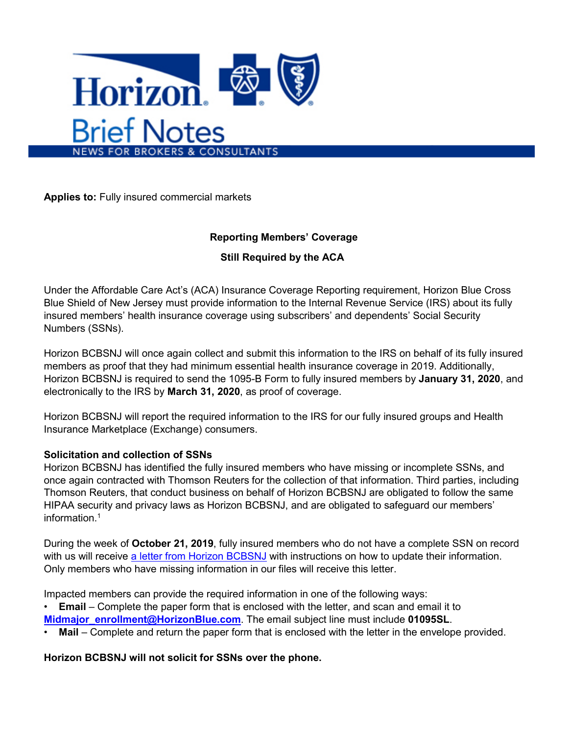

**Applies to:** Fully insured commercial markets

## **Reporting Members' Coverage**

## **Still Required by the ACA**

Under the Affordable Care Act's (ACA) Insurance Coverage Reporting requirement, Horizon Blue Cross Blue Shield of New Jersey must provide information to the Internal Revenue Service (IRS) about its fully insured members' health insurance coverage using subscribers' and dependents' Social Security Numbers (SSNs).

Horizon BCBSNJ will once again collect and submit this information to the IRS on behalf of its fully insured members as proof that they had minimum essential health insurance coverage in 2019. Additionally, Horizon BCBSNJ is required to send the 1095-B Form to fully insured members by **January 31, 2020**, and electronically to the IRS by **March 31, 2020**, as proof of coverage.

Horizon BCBSNJ will report the required information to the IRS for our fully insured groups and Health Insurance Marketplace (Exchange) consumers.

## **Solicitation and collection of SSNs**

Horizon BCBSNJ has identified the fully insured members who have missing or incomplete SSNs, and once again contracted with Thomson Reuters for the collection of that information. Third parties, including Thomson Reuters, that conduct business on behalf of Horizon BCBSNJ are obligated to follow the same HIPAA security and privacy laws as Horizon BCBSNJ, and are obligated to safeguard our members' information.1

During the week of **October 21, 2019**, fully insured members who do not have a complete SSN on record with us will receive [a letter from Horizon BCBSNJ](https://link.zixcentral.com/u/c6cd0bed/rEyA3A-16RG94fNdC2wmKA?u=https%3A%2F%2Fclick.email.horizonblue.com%2F%3Fqs%3D8f68d02b912083c714d7f8b0166f64429b99f276c02b55424e0cfc7dc4296956b61e5e3b7bec63b779f3940e6d026122) with instructions on how to update their information. Only members who have missing information in our files will receive this letter.

Impacted members can provide the required information in one of the following ways:

• **Email** – Complete the paper form that is enclosed with the letter, and scan and email it to **[Midmajor\\_enrollment@HorizonBlue.com](mailto:Midmajor_enrollment@HorizonBlue.com?subject=01095SL)**. The email subject line must include **01095SL**.

• **Mail** – Complete and return the paper form that is enclosed with the letter in the envelope provided.

**Horizon BCBSNJ will not solicit for SSNs over the phone.**